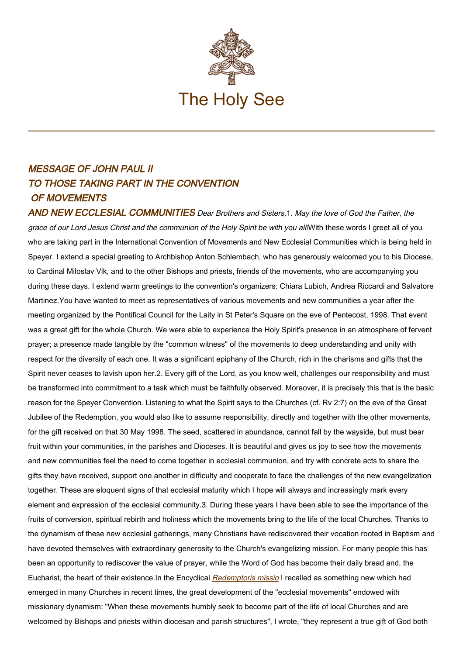

## MESSAGE OF JOHN PAUL II TO THOSE TAKING PART IN THE CONVENTION OF MOVEMENTS

AND NEW ECCLESIAL COMMUNITIES Dear Brothers and Sisters, 1. May the love of God the Father, the grace of our Lord Jesus Christ and the communion of the Holy Spirit be with you all! With these words I greet all of you who are taking part in the International Convention of Movements and New Ecclesial Communities which is being held in Speyer. I extend a special greeting to Archbishop Anton Schlembach, who has generously welcomed you to his Diocese, to Cardinal Miloslav Vlk, and to the other Bishops and priests, friends of the movements, who are accompanying you during these days. I extend warm greetings to the convention's organizers: Chiara Lubich, Andrea Riccardi and Salvatore Martinez.You have wanted to meet as representatives of various movements and new communities a year after the meeting organized by the Pontifical Council for the Laity in St Peter's Square on the eve of Pentecost, 1998. That event was a great gift for the whole Church. We were able to experience the Holy Spirit's presence in an atmosphere of fervent prayer; a presence made tangible by the "common witness" of the movements to deep understanding and unity with respect for the diversity of each one. It was a significant epiphany of the Church, rich in the charisms and gifts that the Spirit never ceases to lavish upon her.2. Every gift of the Lord, as you know well, challenges our responsibility and must be transformed into commitment to a task which must be faithfully observed. Moreover, it is precisely this that is the basic reason for the Speyer Convention. Listening to what the Spirit says to the Churches (cf. Rv 2:7) on the eve of the Great Jubilee of the Redemption, you would also like to assume responsibility, directly and together with the other movements, for the gift received on that 30 May 1998. The seed, scattered in abundance, cannot fall by the wayside, but must bear fruit within your communities, in the parishes and Dioceses. It is beautiful and gives us joy to see how the movements and new communities feel the need to come together in ecclesial communion, and try with concrete acts to share the gifts they have received, support one another in difficulty and cooperate to face the challenges of the new evangelization together. These are eloquent signs of that ecclesial maturity which I hope will always and increasingly mark every element and expression of the ecclesial community.3. During these years I have been able to see the importance of the fruits of conversion, spiritual rebirth and holiness which the movements bring to the life of the local Churches. Thanks to the dynamism of these new ecclesial gatherings, many Christians have rediscovered their vocation rooted in Baptism and have devoted themselves with extraordinary generosity to the Church's evangelizing mission. For many people this has been an opportunity to rediscover the value of prayer, while the Word of God has become their daily bread and, the Eucharist, the heart of their existence.In the Encyclical [Redemptoris missio](http://w2.vatican.va/content/john-paul-ii/en/encyclicals/documents/hf_jp-ii_enc_07121990_redemptoris-missio.html) I recalled as something new which had emerged in many Churches in recent times, the great development of the "ecclesial movements" endowed with missionary dynamism: "When these movements humbly seek to become part of the life of local Churches and are welcomed by Bishops and priests within diocesan and parish structures", I wrote, "they represent a true gift of God both